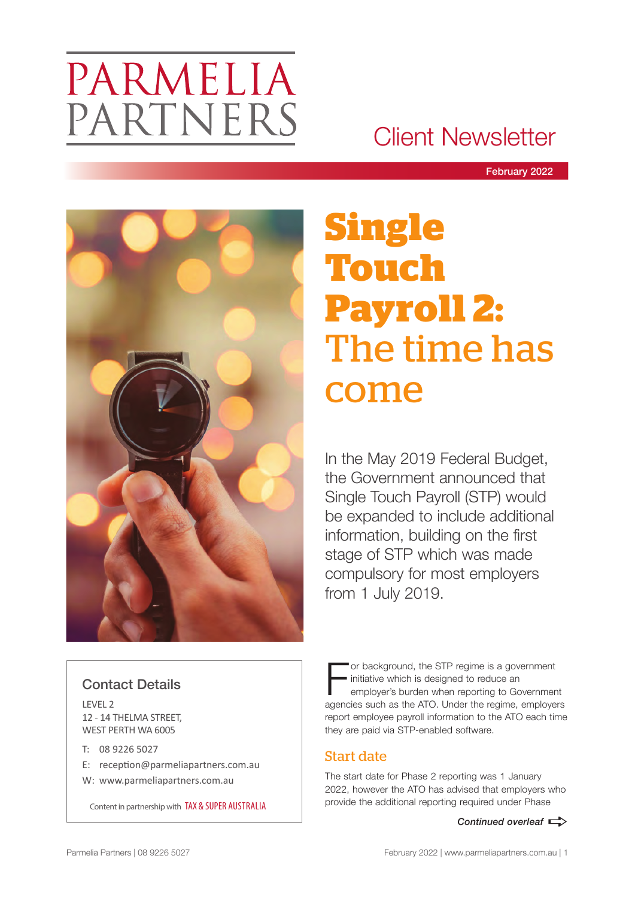# PARMELIA PARTNERS

# Client Newsletter

February 2022



# **Single Touch Payroll 2:**  The time has come

In the May 2019 Federal Budget, the Government announced that Single Touch Payroll (STP) would be expanded to include additional information, building on the first stage of STP which was made compulsory for most employers from 1 July 2019.

# Contact Details

LEVEL 2 12 - 14 THELMA STREET, WEST PERTH WA 6005

- T: 08 9226 5027
- E: reception@parmeliapartners.com.au
- W: www.parmeliapartners.com.au

or background, the STP regime is a government initiative which is designed to reduce an employer's burden when reporting to Government agencies such as the ATO. Under the regime, employers report employee payroll information to the ATO each time they are paid via STP-enabled software.

# Start date

The start date for Phase 2 reporting was 1 January 2022, however the ATO has advised that employers who provide the additional reporting required under Phase Content in partnership with TAX & SUPER AUSTRALIA

*Continued overleaf*  $\Rightarrow$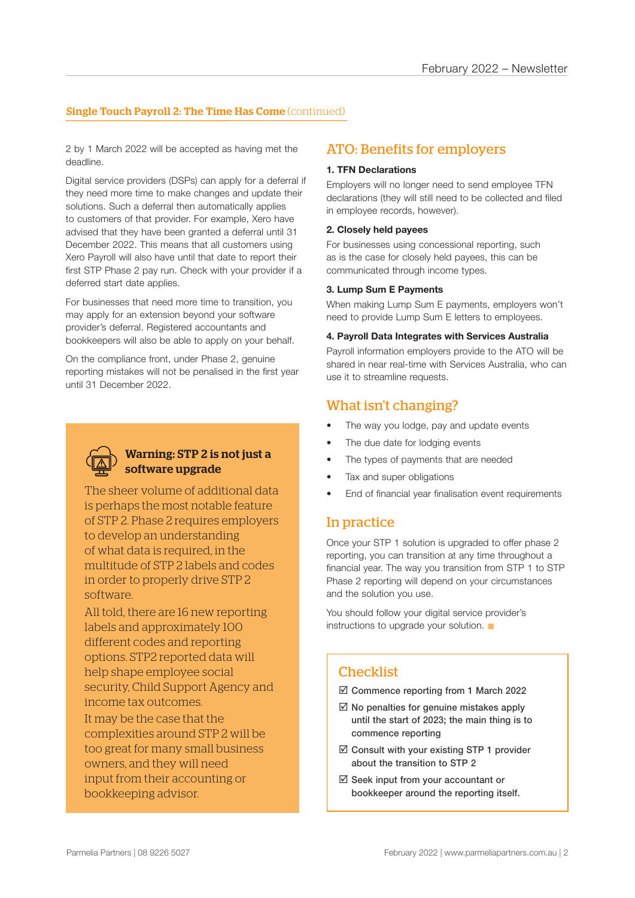#### **Single Touch Payroll 2: The Time Has Come** (continued)

2 by 1 March 2022 will be accepted as having met the deadline.

Digital service providers (DSPs) can apply for a deferral if they need more time to make changes and update their solutions. Such a deferral then automatically applies to customers of that provider. For example, Xero have advised that they have been granted a deferral until 31 December 2022. This means that all customers using Xero Payroll will also have until that date to report their first STP Phase 2 pay run. Check with your provider if a deferred start date applies.

For businesses that need more time to transition, you may apply for an extension beyond your software provider's deferral. Registered accountants and bookkeepers will also be able to apply on your behalf.

On the compliance front, under Phase 2, genuine reporting mistakes will not be penalised in the first year until 31 December 2022.



#### Warning: STP 2 is not just a software upgrade

The sheer volume of additional data is perhaps the most notable feature of STP 2. Phase 2 requires employers to develop an understanding of what data is required, in the multitude of STP 2 labels and codes in order to properly drive STP 2 software.

All told, there are 16 new reporting labels and approximately 100 different codes and reporting options. STP2 reported data will help shape employee social security, Child Support Agency and income tax outcomes.

It may be the case that the complexities around STP 2 will be too great for many small business owners, and they will need input from their accounting or bookkeeping advisor.

#### ATO: Benefits for employers

#### **1. TFN Declarations**

Employers will no longer need to send employee TFN declarations (they will still need to be collected and filed in employee records, however).

#### **2. Closely held payees**

For businesses using concessional reporting, such as is the case for closely held payees, this can be communicated through income types.

#### **3. Lump Sum E Payments**

When making Lump Sum E payments, employers won't need to provide Lump Sum E letters to employees.

#### **4. Payroll Data Integrates with Services Australia**

Payroll information employers provide to the ATO will be shared in near real-time with Services Australia, who can use it to streamline requests.

#### What isn't changing?

- The way you lodge, pay and update events
- The due date for lodging events
- The types of payments that are needed
- Tax and super obligations
- End of financial year finalisation event requirements

#### In practice

Once your STP 1 solution is upgraded to offer phase 2 reporting, you can transition at any time throughout a financial year. The way you transition from STP 1 to STP Phase 2 reporting will depend on your circumstances and the solution you use.

You should follow your digital service provider's instructions to upgrade your solution.  $\blacksquare$ 

#### **Checklist**

 $\boxtimes$  Commence reporting from 1 March 2022

- $\boxtimes$  No penalties for genuine mistakes apply until the start of 2023; the main thing is to commence reporting
- $\boxtimes$  Consult with your existing STP 1 provider about the transition to STP 2
- $\boxtimes$  Seek input from your accountant or bookkeeper around the reporting itself.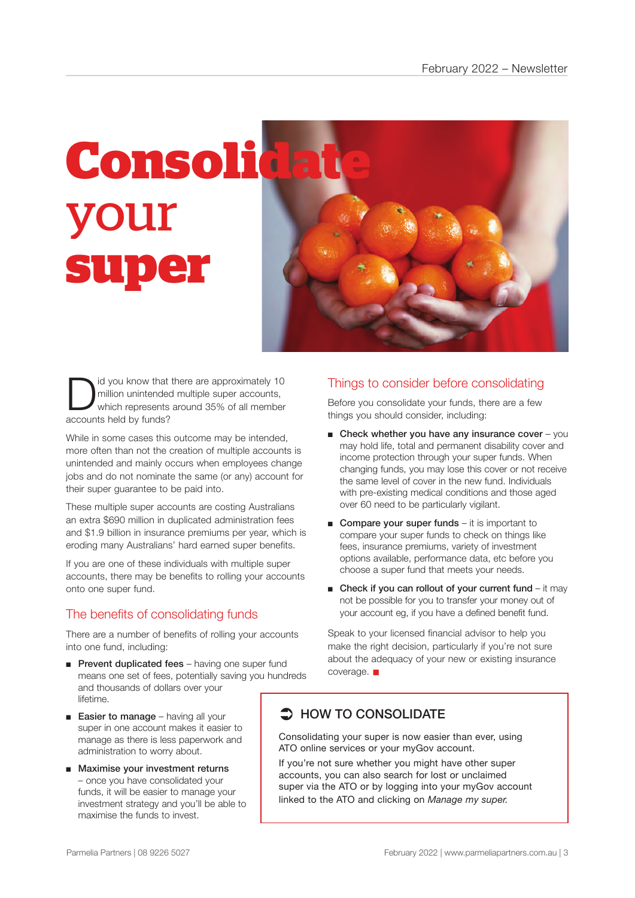

I id you know that there are approximately 10<br>million unintended multiple super accounts,<br>which represents around 35% of all member million unintended multiple super accounts, accounts held by funds?

While in some cases this outcome may be intended, more often than not the creation of multiple accounts is unintended and mainly occurs when employees change jobs and do not nominate the same (or any) account for their super guarantee to be paid into.

These multiple super accounts are costing Australians an extra \$690 million in duplicated administration fees and \$1.9 billion in insurance premiums per year, which is eroding many Australians' hard earned super benefits.

If you are one of these individuals with multiple super accounts, there may be benefits to rolling your accounts onto one super fund.

## The benefits of consolidating funds

There are a number of benefits of rolling your accounts into one fund, including:

- Prevent duplicated fees having one super fund means one set of fees, potentially saving you hundreds and thousands of dollars over your lifetime.
- Easier to manage having all your super in one account makes it easier to manage as there is less paperwork and administration to worry about.
- Maximise your investment returns – once you have consolidated your funds, it will be easier to manage your investment strategy and you'll be able to maximise the funds to invest.

### Things to consider before consolidating

Before you consolidate your funds, there are a few things you should consider, including:

- $\blacksquare$  Check whether you have any insurance cover you may hold life, total and permanent disability cover and income protection through your super funds. When changing funds, you may lose this cover or not receive the same level of cover in the new fund. Individuals with pre-existing medical conditions and those aged over 60 need to be particularly vigilant.
- Compare your super funds it is important to compare your super funds to check on things like fees, insurance premiums, variety of investment options available, performance data, etc before you choose a super fund that meets your needs.
- Check if you can rollout of your current fund  $-$  it may not be possible for you to transfer your money out of your account eg, if you have a defined benefit fund.

Speak to your licensed financial advisor to help you make the right decision, particularly if you're not sure about the adequacy of your new or existing insurance  $coverae.$ 

# $\supset$  HOW TO CONSOLIDATE

Consolidating your super is now easier than ever, using ATO online services or your myGov account.

If you're not sure whether you might have other super accounts, you can also search for lost or unclaimed super via the ATO or by logging into your myGov account linked to the ATO and clicking on *Manage my super.*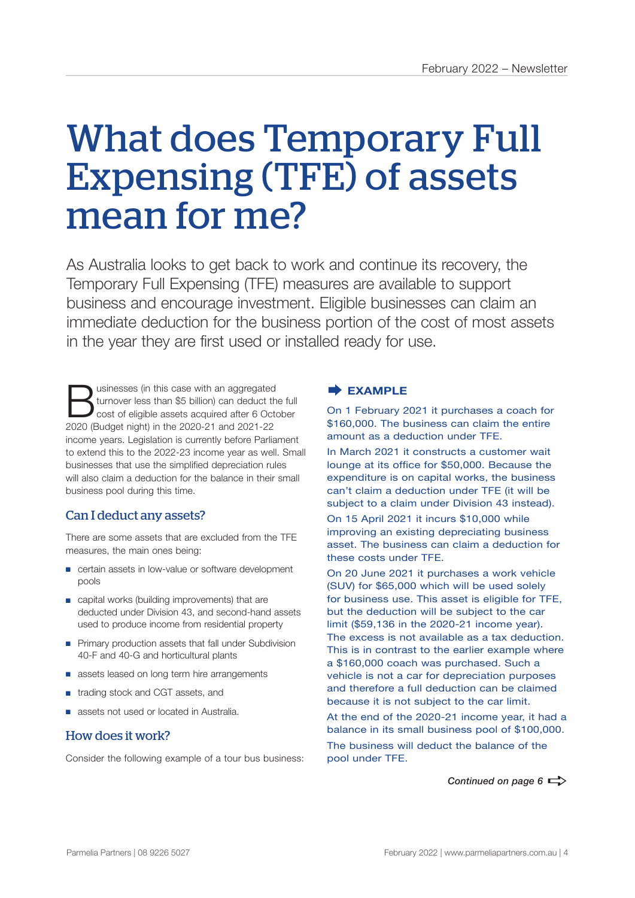# What does Temporary Full Expensing (TFE) of assets mean for me?

As Australia looks to get back to work and continue its recovery, the Temporary Full Expensing (TFE) measures are available to support business and encourage investment. Eligible businesses can claim an immediate deduction for the business portion of the cost of most assets in the year they are first used or installed ready for use.

Usinesses (in this case with an aggregated<br>
cost of eligible assets acquired after 6 October<br>
2020 (Budget pight) in the 2020 21 and 2021 22 turnover less than \$5 billion) can deduct the full 2020 (Budget night) in the 2020-21 and 2021-22 income years. Legislation is currently before Parliament to extend this to the 2022-23 income year as well. Small businesses that use the simplified depreciation rules will also claim a deduction for the balance in their small business pool during this time.

## Can I deduct any assets?

There are some assets that are excluded from the TFE measures, the main ones being:

- certain assets in low-value or software development pools
- capital works (building improvements) that are deducted under Division 43, and second-hand assets used to produce income from residential property
- Primary production assets that fall under Subdivision 40-F and 40-G and horticultural plants
- assets leased on long term hire arrangements
- trading stock and CGT assets, and
- assets not used or located in Australia.

#### How does it work?

Consider the following example of a tour bus business:

#### **EXAMPLE**

On 1 February 2021 it purchases a coach for \$160,000. The business can claim the entire amount as a deduction under TFE.

In March 2021 it constructs a customer wait lounge at its office for \$50,000. Because the expenditure is on capital works, the business can't claim a deduction under TFE (it will be subject to a claim under Division 43 instead). On 15 April 2021 it incurs \$10,000 while improving an existing depreciating business

asset. The business can claim a deduction for these costs under TFE.

On 20 June 2021 it purchases a work vehicle (SUV) for \$65,000 which will be used solely for business use. This asset is eligible for TFE, but the deduction will be subject to the car limit (\$59,136 in the 2020-21 income year). The excess is not available as a tax deduction. This is in contrast to the earlier example where a \$160,000 coach was purchased. Such a vehicle is not a car for depreciation purposes and therefore a full deduction can be claimed because it is not subject to the car limit.

At the end of the 2020-21 income year, it had a balance in its small business pool of \$100,000. The business will deduct the balance of the pool under TFE.

*Continued on page 6*  $\Rightarrow$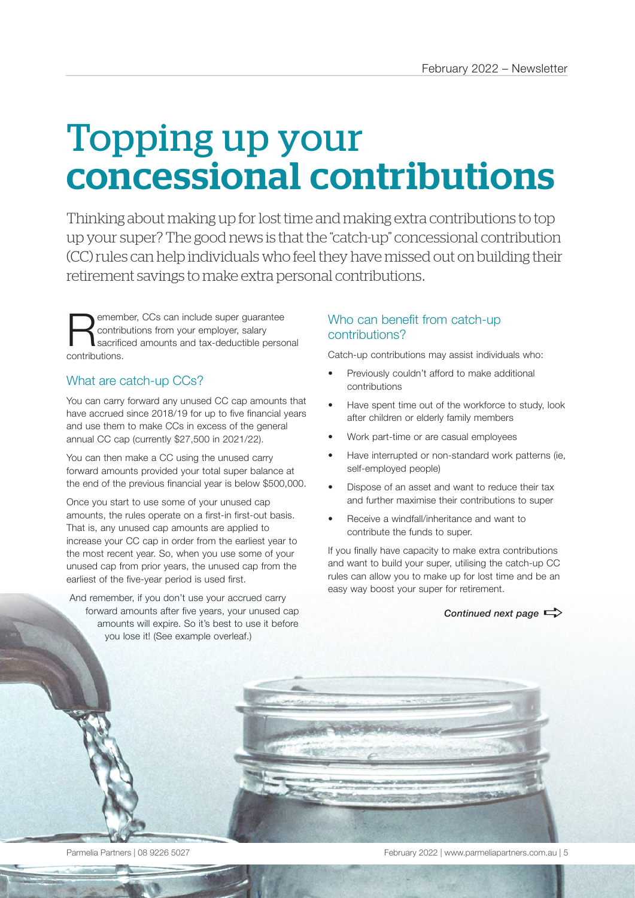# Topping up your concessional contributions

Thinking about making up for lost time and making extra contributions to top up your super? The good news is that the "catch-up" concessional contribution (CC) rules can help individuals who feel they have missed out on building their retirement savings to make extra personal contributions.

**Remember, CCs can include super guarantee**<br>
sacrificed amounts and tax-deductible personal<br>
contributions contributions from your employer, salary contributions.

## What are catch-up CCs?

You can carry forward any unused CC cap amounts that have accrued since 2018/19 for up to five financial years and use them to make CCs in excess of the general annual CC cap (currently \$27,500 in 2021/22).

You can then make a CC using the unused carry forward amounts provided your total super balance at the end of the previous financial year is below \$500,000.

Once you start to use some of your unused cap amounts, the rules operate on a first-in first-out basis. That is, any unused cap amounts are applied to increase your CC cap in order from the earliest year to the most recent year. So, when you use some of your unused cap from prior years, the unused cap from the earliest of the five-year period is used first.

And remember, if you don't use your accrued carry forward amounts after five years, your unused cap amounts will expire. So it's best to use it before you lose it! (See example overleaf.)

## Who can benefit from catch-up contributions?

Catch-up contributions may assist individuals who:

- Previously couldn't afford to make additional contributions
- Have spent time out of the workforce to study, look after children or elderly family members
- Work part-time or are casual employees
- Have interrupted or non-standard work patterns (ie, self-employed people)
- Dispose of an asset and want to reduce their tax and further maximise their contributions to super
- Receive a windfall/inheritance and want to contribute the funds to super.

If you finally have capacity to make extra contributions and want to build your super, utilising the catch-up CC rules can allow you to make up for lost time and be an easy way boost your super for retirement.

*Continued next page*  $\Rightarrow$ 



Parmelia Partners | 08 9226 5027 February 2022 | www.parmeliapartners.com.au | 5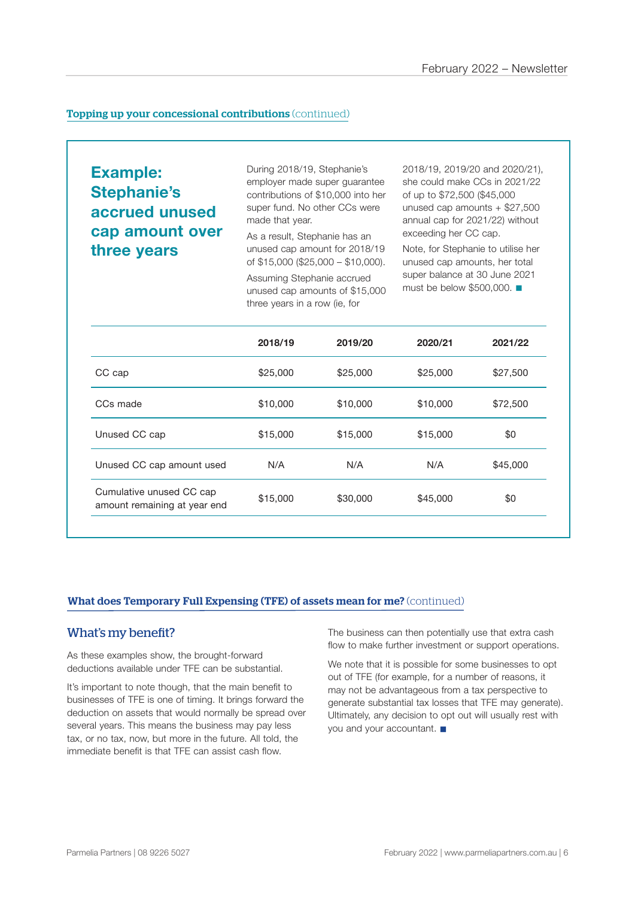#### **Topping up your concessional contributions** (continued)

**Example: Stephanie's accrued unused cap amount over three years** 

During 2018/19, Stephanie's employer made super guarantee contributions of \$10,000 into her super fund. No other CCs were made that year.

As a result, Stephanie has an unused cap amount for 2018/19 of \$15,000 (\$25,000 – \$10,000).

Assuming Stephanie accrued unused cap amounts of \$15,000 three years in a row (ie, for

2018/19, 2019/20 and 2020/21), she could make CCs in 2021/22 of up to \$72,500 (\$45,000 unused cap amounts + \$27,500 annual cap for 2021/22) without exceeding her CC cap.

Note, for Stephanie to utilise her unused cap amounts, her total super balance at 30 June 2021 must be below  $$500,000$ .

|                                                          | 2018/19  | 2019/20  | 2020/21  | 2021/22  |
|----------------------------------------------------------|----------|----------|----------|----------|
| CC cap                                                   | \$25,000 | \$25,000 | \$25,000 | \$27,500 |
| CCs made                                                 | \$10,000 | \$10,000 | \$10,000 | \$72,500 |
| Unused CC cap                                            | \$15,000 | \$15,000 | \$15,000 | \$0      |
| Unused CC cap amount used                                | N/A      | N/A      | N/A      | \$45,000 |
| Cumulative unused CC cap<br>amount remaining at year end | \$15,000 | \$30,000 | \$45,000 | \$0      |
|                                                          |          |          |          |          |

#### What does Temporary Full Expensing (TFE) of assets mean for me? (continued)

#### What's my benefit?

As these examples show, the brought-forward deductions available under TFE can be substantial.

It's important to note though, that the main benefit to businesses of TFE is one of timing. It brings forward the deduction on assets that would normally be spread over several years. This means the business may pay less tax, or no tax, now, but more in the future. All told, the immediate benefit is that TFE can assist cash flow.

The business can then potentially use that extra cash flow to make further investment or support operations.

We note that it is possible for some businesses to opt out of TFE (for example, for a number of reasons, it may not be advantageous from a tax perspective to generate substantial tax losses that TFE may generate). Ultimately, any decision to opt out will usually rest with you and your accountant.  $\blacksquare$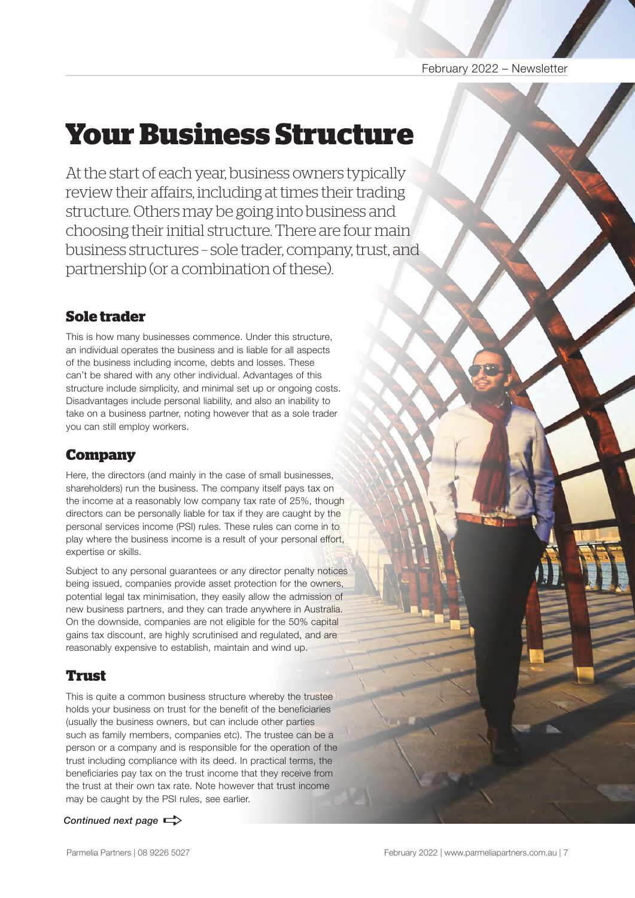#### February 2022 – Newsletter

# **Your Business Structure**

At the start of each year, business owners typically review their affairs, including at times their trading structure. Others may be going into business and choosing their initial structure. There are four main business structures – sole trader, company, trust, and partnership (or a combination of these).

# **Sole trader**

This is how many businesses commence. Under this structure, an individual operates the business and is liable for all aspects of the business including income, debts and losses. These can't be shared with any other individual. Advantages of this structure include simplicity, and minimal set up or ongoing costs. Disadvantages include personal liability, and also an inability to take on a business partner, noting however that as a sole trader you can still employ workers.

# **Company**

Here, the directors (and mainly in the case of small businesses, shareholders) run the business. The company itself pays tax on the income at a reasonably low company tax rate of 25%, though directors can be personally liable for tax if they are caught by the personal services income (PSI) rules. These rules can come in to play where the business income is a result of your personal effort, expertise or skills.

Subject to any personal guarantees or any director penalty notices being issued, companies provide asset protection for the owners, potential legal tax minimisation, they easily allow the admission of new business partners, and they can trade anywhere in Australia. On the downside, companies are not eligible for the 50% capital gains tax discount, are highly scrutinised and regulated, and are reasonably expensive to establish, maintain and wind up.

# **Trust**

This is quite a common business structure whereby the trustee holds your business on trust for the benefit of the beneficiaries (usually the business owners, but can include other parties such as family members, companies etc). The trustee can be a person or a company and is responsible for the operation of the trust including compliance with its deed. In practical terms, the beneficiaries pay tax on the trust income that they receive from the trust at their own tax rate. Note however that trust income may be caught by the PSI rules, see earlier.

*Continued next page*  $\Rightarrow$